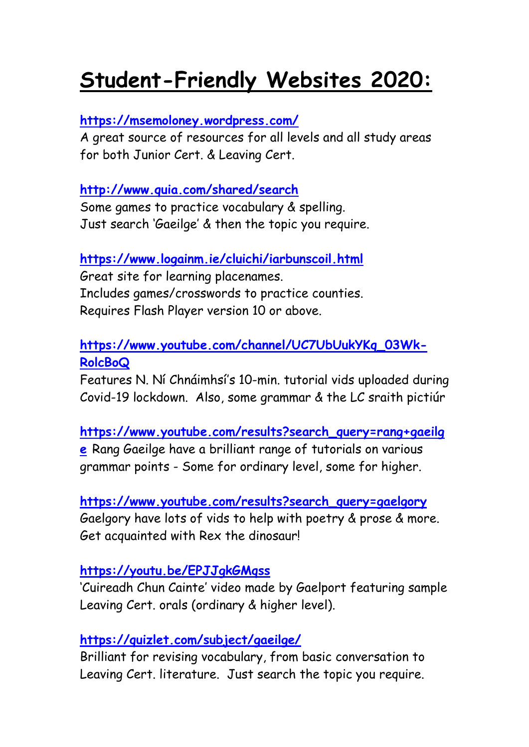# **Student-Friendly Websites 2020:**

# **<https://msemoloney.wordpress.com/>**

A great source of resources for all levels and all study areas for both Junior Cert. & Leaving Cert.

# **<http://www.quia.com/shared/search>**

Some games to practice vocabulary & spelling. Just search 'Gaeilge' & then the topic you require.

# **<https://www.logainm.ie/cluichi/iarbunscoil.html>**

Great site for learning placenames. Includes games/crosswords to practice counties. Requires Flash Player version 10 or above.

# **[https://www.youtube.com/channel/UC7UbUukYKq\\_03Wk-](https://www.youtube.com/channel/UC7UbUukYKq_03Wk-RolcBoQ)[RolcBoQ](https://www.youtube.com/channel/UC7UbUukYKq_03Wk-RolcBoQ)**

Features N. Ní Chnáimhsí's 10-min. tutorial vids uploaded during Covid-19 lockdown. Also, some grammar & the LC sraith pictiúr

### **[https://www.youtube.com/results?search\\_query=rang+gaeilg](https://www.youtube.com/results?search_query=rang+gaeilge)**

**[e](https://www.youtube.com/results?search_query=rang+gaeilge)** Rang Gaeilge have a brilliant range of tutorials on various grammar points - Some for ordinary level, some for higher.

# **[https://www.youtube.com/results?search\\_query=gaelgory](https://www.youtube.com/results?search_query=gaelgory)** Gaelgory have lots of vids to help with poetry & prose & more. Get acquainted with Rex the dinosaur!

# **<https://youtu.be/EPJJgkGMqss>**

'Cuireadh Chun Cainte' video made by Gaelport featuring sample Leaving Cert. orals (ordinary & higher level).

# **<https://quizlet.com/subject/gaeilge/>**

Brilliant for revising vocabulary, from basic conversation to Leaving Cert. literature. Just search the topic you require.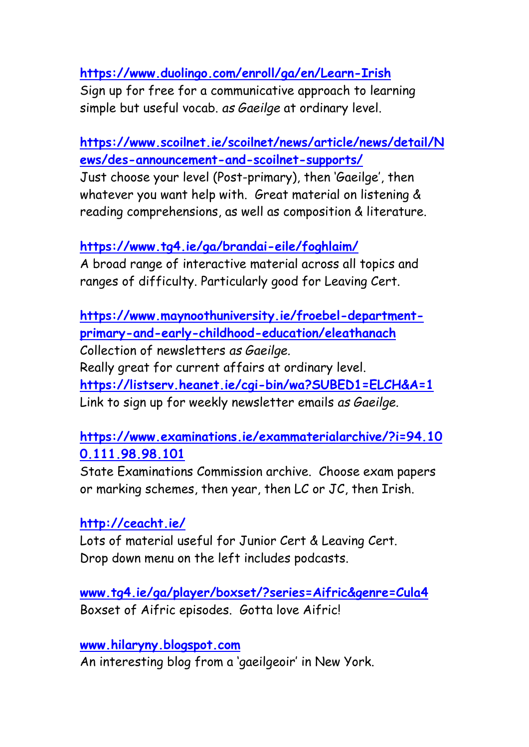**<https://www.duolingo.com/enroll/ga/en/Learn-Irish>**

Sign up for free for a communicative approach to learning simple but useful vocab. *as Gaeilge* at ordinary level.

**[https://www.scoilnet.ie/scoilnet/news/article/news/detail/N](https://www.scoilnet.ie/scoilnet/news/article/news/detail/News/des-announcement-and-scoilnet-supports/) [ews/des-announcement-and-scoilnet-supports/](https://www.scoilnet.ie/scoilnet/news/article/news/detail/News/des-announcement-and-scoilnet-supports/)**

Just choose your level (Post-primary), then 'Gaeilge', then whatever you want help with. Great material on listening & reading comprehensions, as well as composition & literature.

**<https://www.tg4.ie/ga/brandai-eile/foghlaim/>**

A broad range of interactive material across all topics and ranges of difficulty. Particularly good for Leaving Cert.

**[https://www.maynoothuniversity.ie/froebel-department](https://www.maynoothuniversity.ie/froebel-department-primary-and-early-childhood-education/eleathanach)[primary-and-early-childhood-education/eleathanach](https://www.maynoothuniversity.ie/froebel-department-primary-and-early-childhood-education/eleathanach)** Collection of newsletters *as Gaeilge.*  Really great for current affairs at ordinary level. **<https://listserv.heanet.ie/cgi-bin/wa?SUBED1=ELCH&A=1>** Link to sign up for weekly newsletter emails *as Gaeilge.*

**[https://www.examinations.ie/exammaterialarchive/?i=94.10](https://www.examinations.ie/exammaterialarchive/?i=94.100.111.98.98.101) [0.111.98.98.101](https://www.examinations.ie/exammaterialarchive/?i=94.100.111.98.98.101)**

State Examinations Commission archive. Choose exam papers or marking schemes, then year, then LC or JC, then Irish.

**<http://ceacht.ie/>**

Lots of material useful for Junior Cert & Leaving Cert. Drop down menu on the left includes podcasts.

**[www.tg4.ie/ga/player/boxset/?series=Aifric&genre=Cula4](http://www.tg4.ie/ga/player/boxset/?series=Aifric&genre=Cula4)** Boxset of Aifric episodes. Gotta love Aifric!

**[www.hilaryny.blogspot.com](http://www.hilaryny.blogspot.com/)**

An interesting blog from a 'gaeilgeoir' in New York.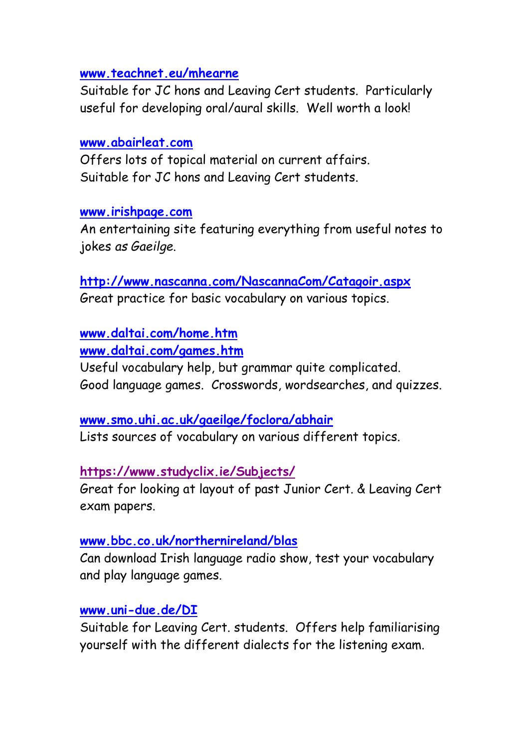#### **[www.teachnet.eu/mhearne](http://www.teachnet.eu/mhearne)**

Suitable for JC hons and Leaving Cert students. Particularly useful for developing oral/aural skills. Well worth a look!

### **[www.abairleat.com](http://www.abairleat.com/)**

Offers lots of topical material on current affairs. Suitable for JC hons and Leaving Cert students.

### **[www.irishpage.com](http://www.irishpage.com/)**

An entertaining site featuring everything from useful notes to jokes *as Gaeilge*.

### **<http://www.nascanna.com/NascannaCom/Catagoir.aspx>** Great practice for basic vocabulary on various topics.

# **[www.daltai.com/home.htm](http://www.daltai.com/home.htm)**

**[www.daltai.com/games.htm](http://www.daltai.com/games.htm)**

Useful vocabulary help, but grammar quite complicated. Good language games. Crosswords, wordsearches, and quizzes.

# **[www.smo.uhi.ac.uk/gaeilge/foclora/abhair](http://www.smo.uhi.ac.uk/gaeilge/foclora/abhair)**

Lists sources of vocabulary on various different topics.

### **<https://www.studyclix.ie/Subjects/>**

Great for looking at layout of past Junior Cert. & Leaving Cert exam papers.

### **[www.bbc.co.uk/northernireland/blas](http://www.bbc.co.uk/northernireland/blas)**

Can download Irish language radio show, test your vocabulary and play language games.

### **[www.uni-due.de/DI](http://www.uni-due.de/DI)**

Suitable for Leaving Cert. students. Offers help familiarising yourself with the different dialects for the listening exam.